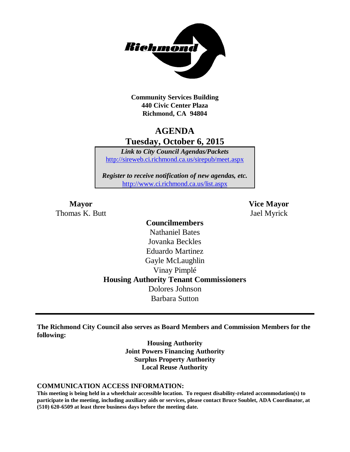

**Community Services Building 440 Civic Center Plaza Richmond, CA 94804**

# **AGENDA Tuesday, October 6, 2015**

*Link to City Council Agendas/Packets* <http://sireweb.ci.richmond.ca.us/sirepub/meet.aspx>

*Register to receive notification of new agendas, etc.* <http://www.ci.richmond.ca.us/list.aspx>

Thomas K. Butt Jael Myrick

**Mayor Vice Mayor**

### **Councilmembers** Nathaniel Bates Jovanka Beckles Eduardo Martinez Gayle McLaughlin Vinay Pimplé **Housing Authority Tenant Commissioners** Dolores Johnson Barbara Sutton

**The Richmond City Council also serves as Board Members and Commission Members for the following:**

> **Housing Authority Joint Powers Financing Authority Surplus Property Authority Local Reuse Authority**

#### **COMMUNICATION ACCESS INFORMATION:**

**This meeting is being held in a wheelchair accessible location. To request disability-related accommodation(s) to participate in the meeting, including auxiliary aids or services, please contact Bruce Soublet, ADA Coordinator, at (510) 620-6509 at least three business days before the meeting date.**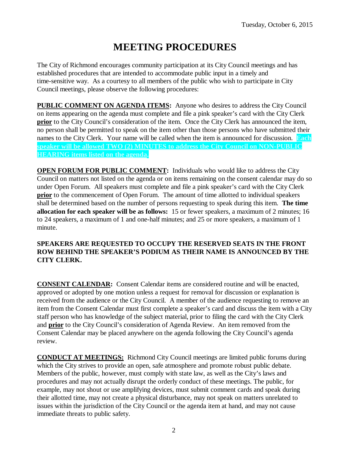# **MEETING PROCEDURES**

The City of Richmond encourages community participation at its City Council meetings and has established procedures that are intended to accommodate public input in a timely and time-sensitive way. As a courtesy to all members of the public who wish to participate in City Council meetings, please observe the following procedures:

**PUBLIC COMMENT ON AGENDA ITEMS:** Anyone who desires to address the City Council on items appearing on the agenda must complete and file a pink speaker's card with the City Clerk **prior** to the City Council's consideration of the item. Once the City Clerk has announced the item, no person shall be permitted to speak on the item other than those persons who have submitted their names to the City Clerk. Your name will be called when the item is announced for discussion. **Each speaker will be allowed TWO (2) MINUTES to address the City Council on NON-PUBLIC HEARING items listed on the agenda.**

**OPEN FORUM FOR PUBLIC COMMENT:** Individuals who would like to address the City Council on matters not listed on the agenda or on items remaining on the consent calendar may do so under Open Forum. All speakers must complete and file a pink speaker's card with the City Clerk **prior** to the commencement of Open Forum. The amount of time allotted to individual speakers shall be determined based on the number of persons requesting to speak during this item. **The time allocation for each speaker will be as follows:** 15 or fewer speakers, a maximum of 2 minutes; 16 to 24 speakers, a maximum of 1 and one-half minutes; and 25 or more speakers, a maximum of 1 minute.

#### **SPEAKERS ARE REQUESTED TO OCCUPY THE RESERVED SEATS IN THE FRONT ROW BEHIND THE SPEAKER'S PODIUM AS THEIR NAME IS ANNOUNCED BY THE CITY CLERK.**

**CONSENT CALENDAR:** Consent Calendar items are considered routine and will be enacted, approved or adopted by one motion unless a request for removal for discussion or explanation is received from the audience or the City Council. A member of the audience requesting to remove an item from the Consent Calendar must first complete a speaker's card and discuss the item with a City staff person who has knowledge of the subject material, prior to filing the card with the City Clerk and **prior** to the City Council's consideration of Agenda Review. An item removed from the Consent Calendar may be placed anywhere on the agenda following the City Council's agenda review.

**CONDUCT AT MEETINGS:** Richmond City Council meetings are limited public forums during which the City strives to provide an open, safe atmosphere and promote robust public debate. Members of the public, however, must comply with state law, as well as the City's laws and procedures and may not actually disrupt the orderly conduct of these meetings. The public, for example, may not shout or use amplifying devices, must submit comment cards and speak during their allotted time, may not create a physical disturbance, may not speak on matters unrelated to issues within the jurisdiction of the City Council or the agenda item at hand, and may not cause immediate threats to public safety.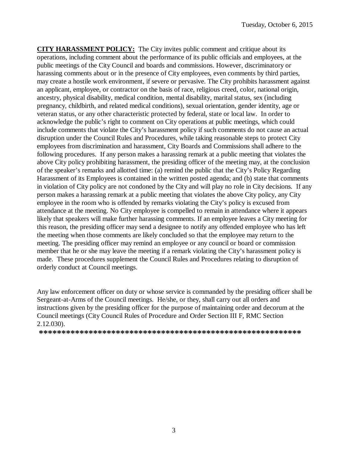**CITY HARASSMENT POLICY:** The City invites public comment and critique about its operations, including comment about the performance of its public officials and employees, at the public meetings of the City Council and boards and commissions. However, discriminatory or harassing comments about or in the presence of City employees, even comments by third parties, may create a hostile work environment, if severe or pervasive. The City prohibits harassment against an applicant, employee, or contractor on the basis of race, religious creed, color, national origin, ancestry, physical disability, medical condition, mental disability, marital status, sex (including pregnancy, childbirth, and related medical conditions), sexual orientation, gender identity, age or veteran status, or any other characteristic protected by federal, state or local law. In order to acknowledge the public's right to comment on City operations at public meetings, which could include comments that violate the City's harassment policy if such comments do not cause an actual disruption under the Council Rules and Procedures, while taking reasonable steps to protect City employees from discrimination and harassment, City Boards and Commissions shall adhere to the following procedures. If any person makes a harassing remark at a public meeting that violates the above City policy prohibiting harassment, the presiding officer of the meeting may, at the conclusion of the speaker's remarks and allotted time: (a) remind the public that the City's Policy Regarding Harassment of its Employees is contained in the written posted agenda; and (b) state that comments in violation of City policy are not condoned by the City and will play no role in City decisions. If any person makes a harassing remark at a public meeting that violates the above City policy, any City employee in the room who is offended by remarks violating the City's policy is excused from attendance at the meeting. No City employee is compelled to remain in attendance where it appears likely that speakers will make further harassing comments. If an employee leaves a City meeting for this reason, the presiding officer may send a designee to notify any offended employee who has left the meeting when those comments are likely concluded so that the employee may return to the meeting. The presiding officer may remind an employee or any council or board or commission member that he or she may leave the meeting if a remark violating the City's harassment policy is made. These procedures supplement the Council Rules and Procedures relating to disruption of orderly conduct at Council meetings.

Any law enforcement officer on duty or whose service is commanded by the presiding officer shall be Sergeant-at-Arms of the Council meetings. He/she, or they, shall carry out all orders and instructions given by the presiding officer for the purpose of maintaining order and decorum at the Council meetings (City Council Rules of Procedure and Order Section III F, RMC Section 2.12.030).

**\*\*\*\*\*\*\*\*\*\*\*\*\*\*\*\*\*\*\*\*\*\*\*\*\*\*\*\*\*\*\*\*\*\*\*\*\*\*\*\*\*\*\*\*\*\*\*\*\*\*\*\*\*\*\*\*\*\***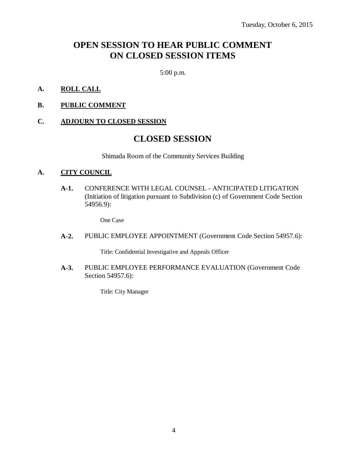# **OPEN SESSION TO HEAR PUBLIC COMMENT ON CLOSED SESSION ITEMS**

5:00 p.m.

#### **A. ROLL CALL**

**B. PUBLIC COMMENT**

#### **C. ADJOURN TO CLOSED SESSION**

### **CLOSED SESSION**

Shimada Room of the Community Services Building

#### **A. CITY COUNCIL**

**A-1.** CONFERENCE WITH LEGAL COUNSEL - ANTICIPATED LITIGATION (Initiation of litigation pursuant to Subdivision (c) of Government Code Section 54956.9):

One Case

**A-2.** PUBLIC EMPLOYEE APPOINTMENT (Government Code Section 54957.6):

Title: Confidential Investigative and Appeals Officer

**A-3.** PUBLIC EMPLOYEE PERFORMANCE EVALUATION (Government Code Section 54957.6):

Title: City Manager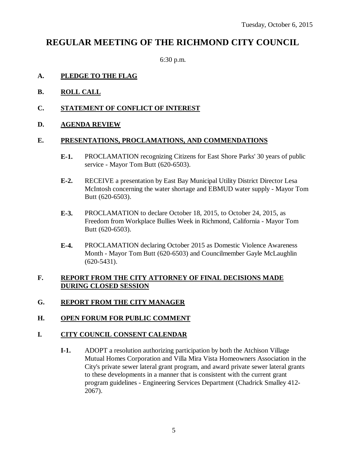## **REGULAR MEETING OF THE RICHMOND CITY COUNCIL**

6:30 p.m.

#### **A. PLEDGE TO THE FLAG**

- **B. ROLL CALL**
- **C. STATEMENT OF CONFLICT OF INTEREST**
- **D. AGENDA REVIEW**

#### **E. PRESENTATIONS, PROCLAMATIONS, AND COMMENDATIONS**

- **E-1.** PROCLAMATION recognizing Citizens for East Shore Parks' 30 years of public service - Mayor Tom Butt (620-6503).
- **E-2.** RECEIVE a presentation by East Bay Municipal Utility District Director Lesa McIntosh concerning the water shortage and EBMUD water supply - Mayor Tom Butt (620-6503).
- **E-3.** PROCLAMATION to declare October 18, 2015, to October 24, 2015, as Freedom from Workplace Bullies Week in Richmond, California - Mayor Tom Butt (620-6503).
- **E-4.** PROCLAMATION declaring October 2015 as Domestic Violence Awareness Month - Mayor Tom Butt (620-6503) and Councilmember Gayle McLaughlin (620-5431).

#### **F. REPORT FROM THE CITY ATTORNEY OF FINAL DECISIONS MADE DURING CLOSED SESSION**

**G. REPORT FROM THE CITY MANAGER**

#### **H. OPEN FORUM FOR PUBLIC COMMENT**

#### **I. CITY COUNCIL CONSENT CALENDAR**

**I-1.** ADOPT a resolution authorizing participation by both the Atchison Village Mutual Homes Corporation and Villa Mira Vista Homeowners Association in the City's private sewer lateral grant program, and award private sewer lateral grants to these developments in a manner that is consistent with the current grant program guidelines - Engineering Services Department (Chadrick Smalley 412- 2067).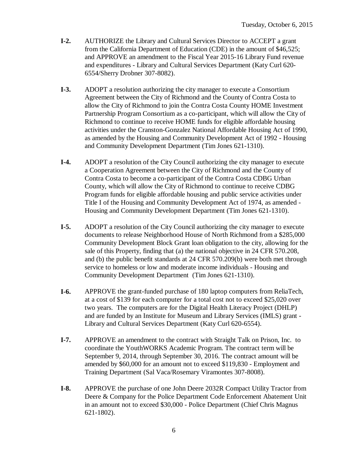- **I-2.** AUTHORIZE the Library and Cultural Services Director to ACCEPT a grant from the California Department of Education (CDE) in the amount of \$46,525; and APPROVE an amendment to the Fiscal Year 2015-16 Library Fund revenue and expenditures - Library and Cultural Services Department (Katy Curl 620- 6554/Sherry Drobner 307-8082).
- **I-3.** ADOPT a resolution authorizing the city manager to execute a Consortium Agreement between the City of Richmond and the County of Contra Costa to allow the City of Richmond to join the Contra Costa County HOME Investment Partnership Program Consortium as a co-participant, which will allow the City of Richmond to continue to receive HOME funds for eligible affordable housing activities under the Cranston-Gonzalez National Affordable Housing Act of 1990, as amended by the Housing and Community Development Act of 1992 - Housing and Community Development Department (Tim Jones 621-1310).
- **I-4.** ADOPT a resolution of the City Council authorizing the city manager to execute a Cooperation Agreement between the City of Richmond and the County of Contra Costa to become a co-participant of the Contra Costa CDBG Urban County, which will allow the City of Richmond to continue to receive CDBG Program funds for eligible affordable housing and public service activities under Title I of the Housing and Community Development Act of 1974, as amended - Housing and Community Development Department (Tim Jones 621-1310).
- **I-5.** ADOPT a resolution of the City Council authorizing the city manager to execute documents to release Neighborhood House of North Richmond from a \$285,000 Community Development Block Grant loan obligation to the city, allowing for the sale of this Property, finding that (a) the national objective in 24 CFR 570.208, and (b) the public benefit standards at 24 CFR 570.209(b) were both met through service to homeless or low and moderate income individuals - Housing and Community Development Department (Tim Jones 621-1310).
- **I-6.** APPROVE the grant-funded purchase of 180 laptop computers from ReliaTech, at a cost of \$139 for each computer for a total cost not to exceed \$25,020 over two years. The computers are for the Digital Health Literacy Project (DHLP) and are funded by an Institute for Museum and Library Services (IMLS) grant - Library and Cultural Services Department (Katy Curl 620-6554).
- **I-7.** APPROVE an amendment to the contract with Straight Talk on Prison, Inc. to coordinate the YouthWORKS Academic Program. The contract term will be September 9, 2014, through September 30, 2016. The contract amount will be amended by \$60,000 for an amount not to exceed \$119,830 - Employment and Training Department (Sal Vaca/Rosemary Viramontes 307-8008).
- **I-8.** APPROVE the purchase of one John Deere 2032R Compact Utility Tractor from Deere & Company for the Police Department Code Enforcement Abatement Unit in an amount not to exceed \$30,000 - Police Department (Chief Chris Magnus 621-1802).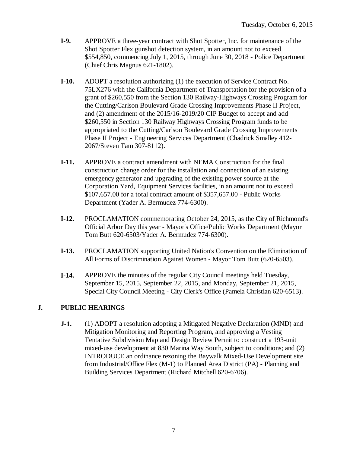- **I-9.** APPROVE a three-year contract with Shot Spotter, Inc. for maintenance of the Shot Spotter Flex gunshot detection system, in an amount not to exceed \$554,850, commencing July 1, 2015, through June 30, 2018 - Police Department (Chief Chris Magnus 621-1802).
- **I-10.** ADOPT a resolution authorizing (1) the execution of Service Contract No. 75LX276 with the California Department of Transportation for the provision of a grant of \$260,550 from the Section 130 Railway-Highways Crossing Program for the Cutting/Carlson Boulevard Grade Crossing Improvements Phase II Project, and (2) amendment of the 2015/16-2019/20 CIP Budget to accept and add \$260,550 in Section 130 Railway Highways Crossing Program funds to be appropriated to the Cutting/Carlson Boulevard Grade Crossing Improvements Phase II Project - Engineering Services Department (Chadrick Smalley 412- 2067/Steven Tam 307-8112).
- **I-11.** APPROVE a contract amendment with NEMA Construction for the final construction change order for the installation and connection of an existing emergency generator and upgrading of the existing power source at the Corporation Yard, Equipment Services facilities, in an amount not to exceed \$107,657.00 for a total contract amount of \$357,657.00 - Public Works Department (Yader A. Bermudez 774-6300).
- **I-12.** PROCLAMATION commemorating October 24, 2015, as the City of Richmond's Official Arbor Day this year - Mayor's Office/Public Works Department (Mayor Tom Butt 620-6503/Yader A. Bermudez 774-6300).
- **I-13.** PROCLAMATION supporting United Nation's Convention on the Elimination of All Forms of Discrimination Against Women - Mayor Tom Butt (620-6503).
- **I-14.** APPROVE the minutes of the regular City Council meetings held Tuesday, September 15, 2015, September 22, 2015, and Monday, September 21, 2015, Special City Council Meeting - City Clerk's Office (Pamela Christian 620-6513).

### **J. PUBLIC HEARINGS**

**J-1.** (1) ADOPT a resolution adopting a Mitigated Negative Declaration (MND) and Mitigation Monitoring and Reporting Program, and approving a Vesting Tentative Subdivision Map and Design Review Permit to construct a 193-unit mixed-use development at 830 Marina Way South, subject to conditions; and (2) INTRODUCE an ordinance rezoning the Baywalk Mixed-Use Development site from Industrial/Office Flex (M-1) to Planned Area District (PA) - Planning and Building Services Department (Richard Mitchell 620-6706).